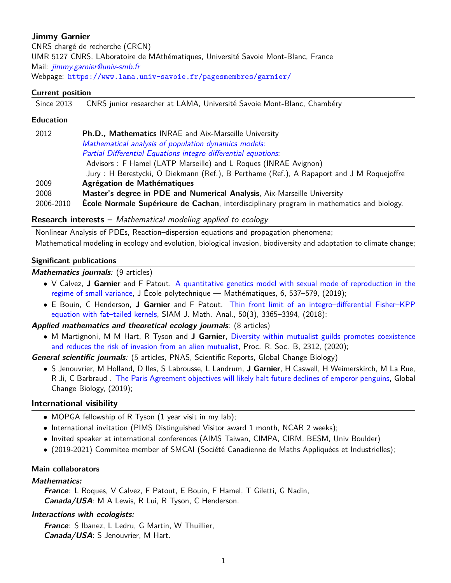# <span id="page-0-0"></span>**Jimmy Garnier**

CNRS chargé de recherche (CRCN) UMR 5127 CNRS, LAboratoire de MAthématiques, Université Savoie Mont-Blanc, France Mail: [jimmy.garnier@univ-smb.fr](mailto:jimmy.garnier@univ-smb.fr) Webpage: [https://www.lama.univ-savoie.fr/pagesmembres/garnier/](https://www.lama.univ-savoie.fr/pagesmembres/garnier/ )

# **Current position**

Since 2013 CNRS junior researcher at LAMA, Université Savoie Mont-Blanc, Chambéry

## **Education**

| 2012      | <b>Ph.D., Mathematics INRAE and Aix-Marseille University</b>                                      |
|-----------|---------------------------------------------------------------------------------------------------|
|           | Mathematical analysis of population dynamics models:                                              |
|           | Partial Differential Equations integro-differential equations;                                    |
|           | Advisors: F Hamel (LATP Marseille) and L Roques (INRAE Avignon)                                   |
|           | Jury: H Berestycki, O Diekmann (Ref.), B Perthame (Ref.), A Rapaport and J M Roquejoffre          |
| 2009      | Agrégation de Mathématiques                                                                       |
| 2008      | Master's degree in PDE and Numerical Analysis, Aix-Marseille University                           |
| 2006-2010 | <b>École Normale Supérieure de Cachan</b> , interdisciplinary program in mathematics and biology. |

## **Research interests –** Mathematical modeling applied to ecology

Nonlinear Analysis of PDEs, Reaction–dispersion equations and propagation phenomena; Mathematical modeling in ecology and evolution, biological invasion, biodiversity and adaptation to climate change;

## **Significant publications**

## **Mathematics journals**: (9 articles)

- V Calvez, **J Garnier** and F Patout. [A quantitative genetics model with sexual mode of reproduction in the](https://jep.centre-mersenne.org/item/JEP_2019__6__537_0) [regime of small variance,](https://jep.centre-mersenne.org/item/JEP_2019__6__537_0) J École polytechnique — Mathématiques, 6, 537–579, (2019);
- E Bouin, C Henderson, **J Garnier** and F Patout. [Thin front limit of an integro–differential Fisher–KPP](https://epubs.siam.org/doi/abs/10.1137/17M1132501) [equation with fat–tailed kernels,](https://epubs.siam.org/doi/abs/10.1137/17M1132501) SIAM J. Math. Anal., 50(3), 3365–3394, (2018);

**Applied mathematics and theoretical ecology journals**: (8 articles)

• M Martignoni, M M Hart, R Tyson and **J Garnier**, [Diversity within mutualist guilds promotes coexistence](https://royalsocietypublishing.org/doi/10.1098/rspb.2019.2312) [and reduces the risk of invasion from an alien mutualist,](https://royalsocietypublishing.org/doi/10.1098/rspb.2019.2312) Proc. R. Soc. B, 2312, (2020);

**General scientific journals**: (5 articles, PNAS, Scientific Reports, Global Change Biology)

• S Jenouvrier, M Holland, D Iles, S Labrousse, L Landrum, **J Garnier**, H Caswell, H Weimerskirch, M La Rue, R Ji, C Barbraud . [The Paris Agreement objectives will likely halt future declines of emperor penguins,](https://onlinelibrary.wiley.com/doi/abs/10.1111/gcb.14864) Global Change Biology, (2019);

# **International visibility**

- MOPGA fellowship of R Tyson (1 year visit in my lab);
- International invitation (PIMS Distinguished Visitor award 1 month, NCAR 2 weeks);
- Invited speaker at international conferences (AIMS Taiwan, CIMPA, CIRM, BESM, Univ Boulder)
- (2019-2021) Commitee member of SMCAI (Société Canadienne de Maths Appliquées et Industrielles);

### **Main collaborators**

### **Mathematics:**

**France**: L Roques, V Calvez, F Patout, E Bouin, F Hamel, T Giletti, G Nadin, **Canada/USA**: M A Lewis, R Lui, R Tyson, C Henderson.

### **Interactions with ecologists:**

**France**: S Ibanez, L Ledru, G Martin, W Thuillier, **Canada/USA**: S Jenouvrier, M Hart.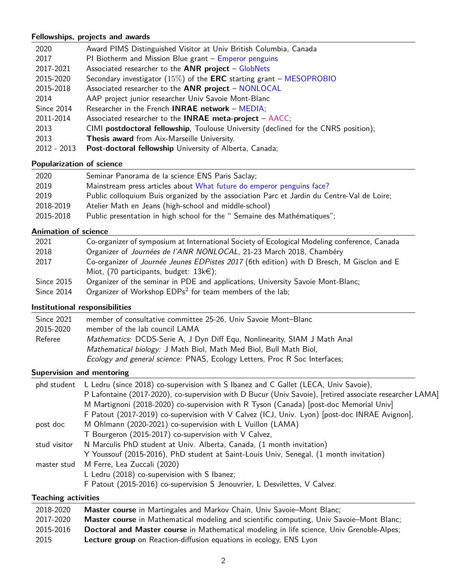# **Fellowships, projects and awards**

| 2020        | Award PIMS Distinguished Visitor at Univ British Columbia, Canada                   |
|-------------|-------------------------------------------------------------------------------------|
| 2017        | PI Biotherm and Mission Blue grant - Emperor penguins                               |
| 2017-2021   | Associated researcher to the ANR project - GlobNets                                 |
| 2015-2020   | Secondary investigator $(15\%)$ of the <b>ERC</b> starting grant $-$ MESOPROBIO     |
| 2015-2018   | Associated researcher to the ANR project - NONLOCAL                                 |
| 2014        | AAP project junior researcher Univ Savoie Mont-Blanc                                |
| Since 2014  | Researcher in the French <b>INRAE network</b> - MEDIA;                              |
| 2011-2014   | Associated researcher to the <b>INRAE</b> meta-project $-$ AACC;                    |
| 2013        | CIMI postdoctoral fellowship, Toulouse University (declined for the CNRS position); |
| 2013        | Thesis award from Aix-Marseille University.                                         |
| 2012 - 2013 | <b>Post-doctoral fellowship</b> University of Alberta, Canada;                      |

# **Popularization of science**

| 2020      | Seminar Panorama de la science ENS Paris Saclay;                                           |
|-----------|--------------------------------------------------------------------------------------------|
| 2019      | Mainstream press articles about What future do emperor penguins face?                      |
| 2019      | Public colloquium Buis organized by the association Parc et Jardin du Centre-Val de Loire; |
| 2018-2019 | Atelier Math en Jeans (high-school and middle-school)                                      |
| 2015-2018 | Public presentation in high school for the "Semaine des Mathématiques";                    |

# **Animation of science**

| 2021       | Co-organizer of symposium at International Society of Ecological Modeling conference, Canada |
|------------|----------------------------------------------------------------------------------------------|
| 2018       | Organizer of Journées de l'ANR NONLOCAL, 21-23 March 2018, Chambéry                          |
| 2017       | Co-organizer of Journée Jeunes EDPistes 2017 (6th edition) with D Bresch, M Gisclon and E    |
|            | Miot, (70 participants, budget: $13k\in$ );                                                  |
| Since 2015 | Organizer of the seminar in PDE and applications, University Savoie Mont-Blanc;              |
| Since 2014 | Organizer of Workshop EDPs <sup>2</sup> for team members of the lab;                         |

# **Institutional responsibilities**

| Since 2021 | member of consultative committee 25-26, Univ Savoie Mont-Blanc                    |
|------------|-----------------------------------------------------------------------------------|
| 2015-2020  | member of the lab council LAMA                                                    |
| Referee    | Mathematics: DCDS-Serie A, J Dyn Diff Equ, Nonlinearity, SIAM J Math Anal         |
|            | <i>Mathematical biology:</i> J Math Biol, Math Med Biol, Bull Math Biol,          |
|            | <i>Ecology and general science: PNAS, Ecology Letters, Proc R Soc Interfaces;</i> |

# **Supervision and mentoring**

| phd student  | L Ledru (since 2018) co-supervision with S Ibanez and C Gallet (LECA, Univ Savoie),                      |
|--------------|----------------------------------------------------------------------------------------------------------|
|              | P Lafontaine (2017-2020), co-supervision with D Bucur (Univ Savoie), [retired associate researcher LAMA] |
|              | M Martignoni (2018-2020) co-supervision with R Tyson (Canada) [post-doc Memorial Univ]                   |
|              | F Patout (2017-2019) co-supervision with V Calvez (ICJ, Univ. Lyon) [post-doc INRAE Avignon],            |
| post doc     | M Ohlmann (2020-2021) co-supervision with L Vuillon (LAMA)                                               |
|              | T Bourgeron (2015-2017) co-supervision with V Calvez,                                                    |
| stud visitor | N Marculis PhD student at Univ. Alberta, Canada, (1 month invitation)                                    |
|              | Y Youssouf (2015-2016), PhD student at Saint-Louis Univ, Senegal, (1 month invitation)                   |
| master stud  | M Ferre, Lea Zuccali (2020)                                                                              |
|              | L Ledru (2018) co-supervision with S Ibanez;                                                             |
|              | F Patout (2015-2016) co-supervision S Jenouvrier, L Desvilettes, V Calvez.                               |
|              |                                                                                                          |

# **Teaching activities**

| 2018-2020 | Master course in Martingales and Markov Chain, Univ Savoie–Mont Blanc;                    |
|-----------|-------------------------------------------------------------------------------------------|
| 2017-2020 | Master course in Mathematical modeling and scientific computing, Univ Savoie–Mont Blanc;  |
| 2015-2016 | Doctoral and Master course in Mathematical modeling in life science, Univ Grenoble-Alpes; |
| 2015      | <b>Lecture group</b> on Reaction-diffusion equations in ecology, ENS Lyon                 |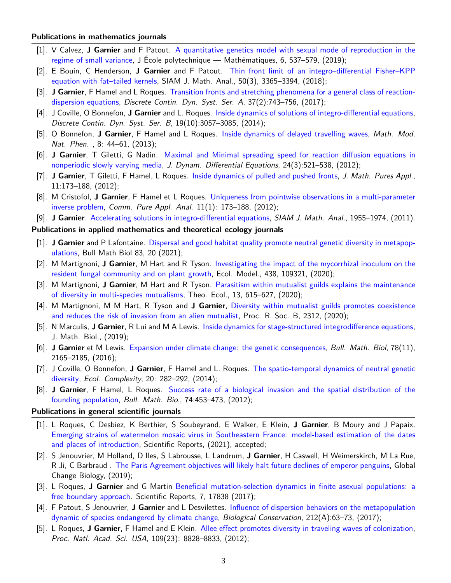#### **Publications in mathematics journals**

- [1]. V Calvez, **J Garnier** and F Patout. [A quantitative genetics model with sexual mode of reproduction in the](https://jep.centre-mersenne.org/item/JEP_2019__6__537_0) [regime of small variance,](https://jep.centre-mersenne.org/item/JEP_2019__6__537_0) J École polytechnique — Mathématiques, 6, 537–579, (2019);
- [2]. E Bouin, C Henderson, **J Garnier** and F Patout. [Thin front limit of an integro–differential Fisher–KPP](https://epubs.siam.org/doi/abs/10.1137/17M1132501) [equation with fat–tailed kernels,](https://epubs.siam.org/doi/abs/10.1137/17M1132501) SIAM J. Math. Anal., 50(3), 3365–3394, (2018);
- [3]. **J Garnier**, F Hamel and L Roques. [Transition fronts and stretching phenomena for a general class of reaction](https://www.aimsciences.org/article/doi/10.3934/dcds.2017031)[dispersion equations,](https://www.aimsciences.org/article/doi/10.3934/dcds.2017031) Discrete Contin. Dyn. Syst. Ser. A, 37(2):743–756, (2017);
- [4]. J Coville, O Bonnefon, **J Garnier** and L. Roques. Inside dynamics of solutions of integro-differential equations, Discrete Contin. Dyn. Syst. Ser. B, 19(10):3057–3085, (2014);
- [5]. O Bonnefon, **J Garnier**, F Hamel and L Roques. [Inside dynamics of delayed travelling waves,](http://hal.archives-ouvertes.fr/hal-00788675) Math. Mod. Nat. Phen. , 8: 44–61, (2013);
- [6]. **J Garnier**, T Giletti, G Nadin. [Maximal and Minimal spreading speed for reaction diffusion equations in](http://link.springer.com/article/10.1007/s10884-012-9254-5?null) [nonperiodic slowly varying media,](http://link.springer.com/article/10.1007/s10884-012-9254-5?null) J. Dynam. Differential Equations, 24(3):521–538, (2012);
- [7]. **J Garnier**, T Giletti, F Hamel, L Roques. [Inside dynamics of pulled and pushed fronts,](http://www.sciencedirect.com/science/article/pii/S0021782412000281) J. Math. Pures Appl., 11:173–188, (2012);
- [8]. M Cristofol, **J Garnier**, F Hamel et L Roques. [Uniqueness from pointwise observations in a multi-parameter](http://aimsciences.org/journals/displayArticlesnew.jsp?paperID=6485) [inverse problem,](http://aimsciences.org/journals/displayArticlesnew.jsp?paperID=6485) Comm. Pure Appl. Anal. 11(1): 173–188, (2012);
- [9]. **J Garnier**. [Accelerating solutions in integro-differential equations,](http://epubs.siam.org/sima/resource/1/sjmaah/v43/i4/p1955_s1?isAuthorized=no) SIAM J. Math. Anal., 1955–1974, (2011).

### **Publications in applied mathematics and theoretical ecology journals**

- [1]. **J Garnier** and P Lafontaine. [Dispersal and good habitat quality promote neutral genetic diversity in metapop](https://link.springer.com/article/10.1007/s11538-020-00853-5)[ulations,](https://link.springer.com/article/10.1007/s11538-020-00853-5) Bull Math Biol 83, 20 (2021);
- [2]. M Martignoni, **J Garnier**, M Hart and R Tyson. [Investigating the impact of the mycorrhizal inoculum on the](https://www.sciencedirect.com/science/article/abs/pii/S0304380020303896) [resident fungal community and on plant growth,](https://www.sciencedirect.com/science/article/abs/pii/S0304380020303896) Ecol. Model., 438, 109321, (2020);
- [3]. M Martignoni, **J Garnier**, M Hart and R Tyson. [Parasitism within mutualist guilds explains the maintenance](https://link.springer.com/article/10.1007%2Fs12080-020-00472-9) [of diversity in multi-species mutualisms,](https://link.springer.com/article/10.1007%2Fs12080-020-00472-9) Theo. Ecol., 13, 615–627, (2020);
- [4]. M Martignoni, M M Hart, R Tyson and **J Garnier**, [Diversity within mutualist guilds promotes coexistence](https://royalsocietypublishing.org/doi/10.1098/rspb.2019.2312) [and reduces the risk of invasion from an alien mutualist,](https://royalsocietypublishing.org/doi/10.1098/rspb.2019.2312) Proc. R. Soc. B, 2312, (2020);
- [5]. N Marculis, **J Garnier**, R Lui and M A Lewis. [Inside dynamics for stage-structured integrodifference equations,](https://doi.org/10.1007/s00285-019-01378-9) J. Math. Biol., (2019);
- [6]. **J Garnier** et M Lewis. [Expansion under climate change: the genetic consequences,](https://link.springer.com/article/10.1007/s11538-016-0213-x) Bull. Math. Biol, 78(11), 2165–2185, (2016);
- [7]. J Coville, O Bonnefon, **J Garnier**, F Hamel and L. Roques. The spatio-temporal dynamics of neutral genetic diversity, Ecol. Complexity, 20: 282–292, (2014);
- [8]. **J Garnier**, F Hamel, L Roques. [Success rate of a biological invasion and the spatial distribution of the](http://www.springerlink.com/content/g4251xh2154t1710/) [founding population,](http://www.springerlink.com/content/g4251xh2154t1710/) Bull. Math. Bio., 74:453–473, (2012);

#### **Publications in general scientific journals**

- [1]. L Roques, C Desbiez, K Berthier, S Soubeyrand, E Walker, E Klein, **J Garnier**, B Moury and J Papaix. [Emerging strains of watermelon mosaic virus in Southeastern France: model-based estimation of the dates](https://hal.archives-ouvertes.fr/hal-02968138) [and places of introduction,](https://hal.archives-ouvertes.fr/hal-02968138) Scientific Reports, (2021), accepted;
- [2]. S Jenouvrier, M Holland, D Iles, S Labrousse, L Landrum, **J Garnier**, H Caswell, H Weimerskirch, M La Rue, R Ji, C Barbraud . [The Paris Agreement objectives will likely halt future declines of emperor penguins,](https://onlinelibrary.wiley.com/doi/abs/10.1111/gcb.14864) Global Change Biology, (2019);
- [3]. L Roques, **J Garnier** and G Martin [Beneficial mutation-selection dynamics in finite asexual populations: a](https://www.nature.com/articles/s41598-017-17212-5) [free boundary approach.](https://www.nature.com/articles/s41598-017-17212-5) Scientific Reports, 7, 17838 (2017);
- [4]. F Patout, S Jenouvrier, **J Garnier** and L Desvilettes. [Influence of dispersion behaviors on the metapopulation](http://www.cebc.cnrs.fr/publipdf/2017/JBC212_2017.pdf) [dynamic of species endangered by climate change,](http://www.cebc.cnrs.fr/publipdf/2017/JBC212_2017.pdf) Biological Conservation, 212(A):63–73, (2017);
- [5]. L Roques, **J Garnier**, F Hamel and E Klein. [Allee effect promotes diversity in traveling waves of colonization,](http://www.pnas.org/content/109/23/8828/F2.expansion.html) Proc. Natl. Acad. Sci. USA, 109(23): 8828–8833, (2012);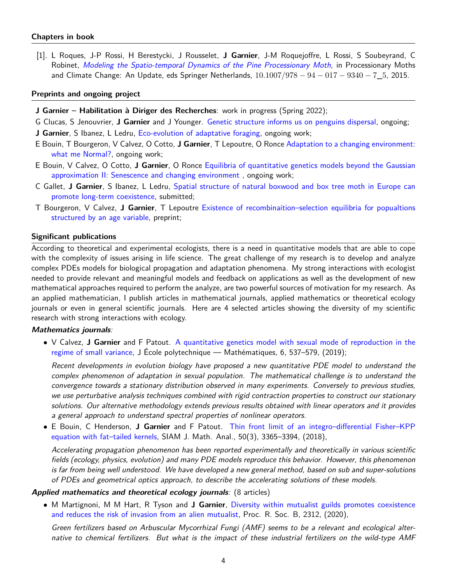#### **Chapters in book**

[1]. L Roques, J-P Rossi, H Berestycki, J Rousselet, **J Garnier**, J-M Roquejoffre, L Rossi, S Soubeyrand, C Robinet, Modeling the Spatio-temporal Dynamics of the Pine Processionary Moth, in Processionary Moths and Climate Change: An Update, eds Springer Netherlands, 10*.*1007*/*978 − 94 − 017 − 9340 − 7\_5, 2015.

#### **Preprints and ongoing project**

- **J Garnier Habilitation à Diriger des Recherches**: work in progress (Spring 2022);
- G Clucas, S Jenouvrier, **J Garnier** and J Younger. Genetic structure informs us on penguins dispersal, ongoing;
- **J Garnier**, S Ibanez, L Ledru, Eco-evolution of adaptative foraging, ongoing work;
- E Bouin, T Bourgeron, V Calvez, O Cotto, **J Garnier**, T Lepoutre, O Ronce Adaptation to a changing environment: what me Normal?, ongoing work;
- E Bouin, V Calvez, O Cotto, **J Garnier**, O Ronce Equilibria of quantitative genetics models beyond the Gaussian approximation II: Senescence and changing environment , ongoing work;
- C Gallet, **J Garnier**, S Ibanez, L Ledru, Spatial structure of natural boxwood and box tree moth in Europe can promote long-term coexistence, submitted;
- T Bourgeron, V Calvez, **J Garnier**, T Lepoutre Existence of recombinaition–selection equilibria for popualtions structured by an age variable, preprint;

#### **Significant publications**

According to theoretical and experimental ecologists, there is a need in quantitative models that are able to cope with the complexity of issues arising in life science. The great challenge of my research is to develop and analyze complex PDEs models for biological propagation and adaptation phenomena. My strong interactions with ecologist needed to provide relevant and meaningful models and feedback on applications as well as the development of new mathematical approaches required to perform the analyze, are two powerful sources of motivation for my research. As an applied mathematician, I publish articles in mathematical journals, applied mathematics or theoretical ecology journals or even in general scientific journals. Here are 4 selected articles showing the diversity of my scientific research with strong interactions with ecology.

#### **Mathematics journals**:

• V Calvez, **J Garnier** and F Patout. [A quantitative genetics model with sexual mode of reproduction in the](https://jep.centre-mersenne.org/item/JEP_2019__6__537_0) [regime of small variance,](https://jep.centre-mersenne.org/item/JEP_2019__6__537_0) J École polytechnique — Mathématiques, 6, 537–579, (2019);

Recent developments in evolution biology have proposed a new quantitative PDE model to understand the complex phenomenon of adaptation in sexual population. The mathematical challenge is to understand the convergence towards a stationary distribution observed in many experiments. Conversely to previous studies, we use perturbative analysis techniques combined with rigid contraction properties to construct our stationary solutions. Our alternative methodology extends previous results obtained with linear operators and it provides a general approach to understand spectral properties of nonlinear operators.

• E Bouin, C Henderson, **J Garnier** and F Patout. [Thin front limit of an integro–differential Fisher–KPP](https://epubs.siam.org/doi/abs/10.1137/17M1132501) [equation with fat–tailed kernels,](https://epubs.siam.org/doi/abs/10.1137/17M1132501) SIAM J. Math. Anal., 50(3), 3365–3394, (2018),

Accelerating propagation phenomenon has been reported experimentally and theoretically in various scientific fields (ecology, physics, evolution) and many PDE models reproduce this behavior. However, this phenomenon is far from being well understood. We have developed a new general method, based on sub and super-solutions of PDEs and geometrical optics approach, to describe the accelerating solutions of these models.

#### **Applied mathematics and theoretical ecology journals**: (8 articles)

• M Martignoni, M M Hart, R Tyson and **J Garnier**, [Diversity within mutualist guilds promotes coexistence](https://royalsocietypublishing.org/doi/10.1098/rspb.2019.2312) [and reduces the risk of invasion from an alien mutualist,](https://royalsocietypublishing.org/doi/10.1098/rspb.2019.2312) Proc. R. Soc. B, 2312, (2020),

Green fertilizers based on Arbuscular Mycorrhizal Fungi (AMF) seems to be a relevant and ecological alternative to chemical fertilizers. But what is the impact of these industrial fertilizers on the wild-type AMF